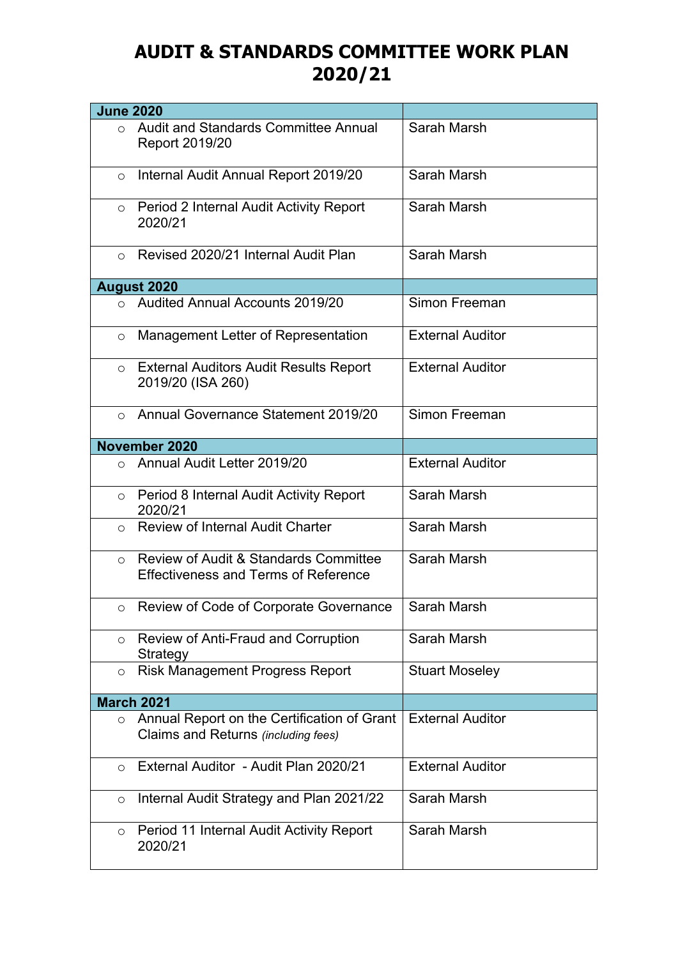## **AUDIT & STANDARDS COMMITTEE WORK PLAN 2020/21**

| <b>June 2020</b> |                                                                                                 |                         |
|------------------|-------------------------------------------------------------------------------------------------|-------------------------|
| $\Omega$         | Audit and Standards Committee Annual<br>Report 2019/20                                          | Sarah Marsh             |
| $\circ$          | Internal Audit Annual Report 2019/20                                                            | Sarah Marsh             |
| $\circ$          | Period 2 Internal Audit Activity Report<br>2020/21                                              | Sarah Marsh             |
| $\circ$          | Revised 2020/21 Internal Audit Plan                                                             | Sarah Marsh             |
|                  | <b>August 2020</b>                                                                              |                         |
| $\Omega$         | <b>Audited Annual Accounts 2019/20</b>                                                          | Simon Freeman           |
| $\circ$          | Management Letter of Representation                                                             | <b>External Auditor</b> |
| $\circ$          | <b>External Auditors Audit Results Report</b><br>2019/20 (ISA 260)                              | <b>External Auditor</b> |
| $\Omega$         | Annual Governance Statement 2019/20                                                             | Simon Freeman           |
|                  | November 2020                                                                                   |                         |
| $\bigcirc$       | Annual Audit Letter 2019/20                                                                     | <b>External Auditor</b> |
| $\circ$          | Period 8 Internal Audit Activity Report<br>2020/21                                              | Sarah Marsh             |
| $\circ$          | <b>Review of Internal Audit Charter</b>                                                         | Sarah Marsh             |
| $\circ$          | <b>Review of Audit &amp; Standards Committee</b><br><b>Effectiveness and Terms of Reference</b> | Sarah Marsh             |
| O                | Review of Code of Corporate Governance                                                          | Sarah Marsh             |
| $\circ$          | Review of Anti-Fraud and Corruption<br>Strategy                                                 | Sarah Marsh             |
| $\circ$          | <b>Risk Management Progress Report</b>                                                          | <b>Stuart Moseley</b>   |
|                  | <b>March 2021</b>                                                                               |                         |
| $\circ$          | Annual Report on the Certification of Grant<br>Claims and Returns (including fees)              | <b>External Auditor</b> |
| $\circ$          | External Auditor - Audit Plan 2020/21                                                           | <b>External Auditor</b> |
| $\circ$          | Internal Audit Strategy and Plan 2021/22                                                        | Sarah Marsh             |
| $\circ$          | Period 11 Internal Audit Activity Report<br>2020/21                                             | Sarah Marsh             |